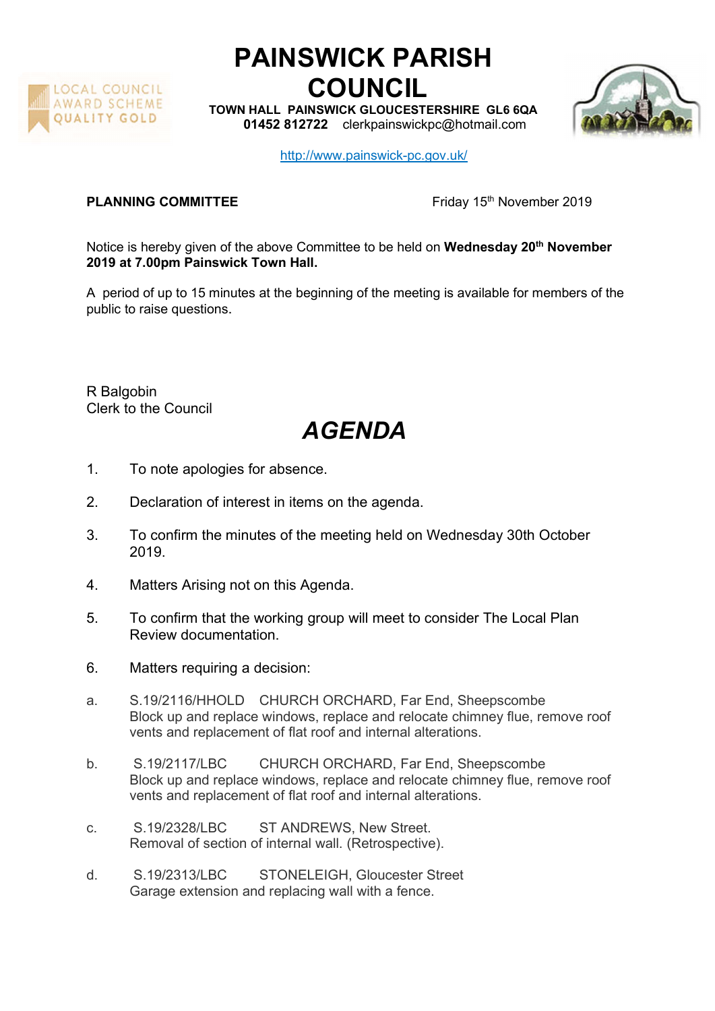

## PAINSWICK PARISH COUNCIL

TOWN HALL PAINSWICK GLOUCESTERSHIRE GL6 6QA 01452 812722 clerkpainswickpc@hotmail.com



http://www.painswick-pc.gov.uk/

**PLANNING COMMITTEE** Friday 15<sup>th</sup> November 2019

Notice is hereby given of the above Committee to be held on Wednesday 20<sup>th</sup> November 2019 at 7.00pm Painswick Town Hall.

A period of up to 15 minutes at the beginning of the meeting is available for members of the public to raise questions.

R Balgobin Clerk to the Council

## AGENDA

- 1. To note apologies for absence.
- 2. Declaration of interest in items on the agenda.
- 3. To confirm the minutes of the meeting held on Wednesday 30th October 2019.
- 4. Matters Arising not on this Agenda.
- 5. To confirm that the working group will meet to consider The Local Plan Review documentation.
- 6. Matters requiring a decision:
- a. S.19/2116/HHOLD CHURCH ORCHARD, Far End, Sheepscombe Block up and replace windows, replace and relocate chimney flue, remove roof vents and replacement of flat roof and internal alterations.
- b. S.19/2117/LBC CHURCH ORCHARD, Far End, Sheepscombe Block up and replace windows, replace and relocate chimney flue, remove roof vents and replacement of flat roof and internal alterations.
- c. S.19/2328/LBC ST ANDREWS, New Street. Removal of section of internal wall. (Retrospective).
- d. S.19/2313/LBC STONELEIGH, Gloucester Street Garage extension and replacing wall with a fence.